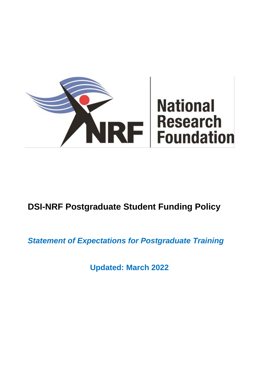

# **DSI-NRF Postgraduate Student Funding Policy**

*Statement of Expectations for Postgraduate Training*

**Updated: March 2022**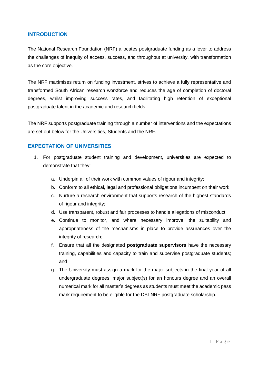# **INTRODUCTION**

The National Research Foundation (NRF) allocates postgraduate funding as a lever to address the challenges of inequity of access, success, and throughput at university, with transformation as the core objective.

The NRF maximises return on funding investment, strives to achieve a fully representative and transformed South African research workforce and reduces the age of completion of doctoral degrees, whilst improving success rates, and facilitating high retention of exceptional postgraduate talent in the academic and research fields.

The NRF supports postgraduate training through a number of interventions and the expectations are set out below for the Universities, Students and the NRF.

## **EXPECTATION OF UNIVERSITIES**

- 1. For postgraduate student training and development, universities are expected to demonstrate that they:
	- a. Underpin all of their work with common values of rigour and integrity;
	- b. Conform to all ethical, legal and professional obligations incumbent on their work;
	- c. Nurture a research environment that supports research of the highest standards of rigour and integrity;
	- d. Use transparent, robust and fair processes to handle allegations of misconduct;
	- e. Continue to monitor, and where necessary improve, the suitability and appropriateness of the mechanisms in place to provide assurances over the integrity of research;
	- f. Ensure that all the designated **postgraduate supervisors** have the necessary training, capabilities and capacity to train and supervise postgraduate students; and
	- g. The University must assign a mark for the major subjects in the final year of all undergraduate degrees, major subject(s) for an honours degree and an overall numerical mark for all master's degrees as students must meet the academic pass mark requirement to be eligible for the DSI-NRF postgraduate scholarship.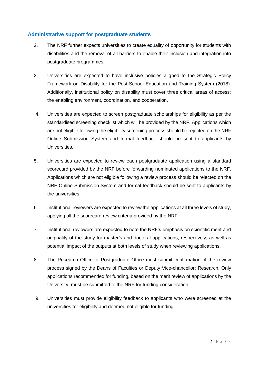#### **Administrative support for postgraduate students**

- 2. The NRF further expects universities to create equality of opportunity for students with disabilities and the removal of all barriers to enable their inclusion and integration into postgraduate programmes.
- 3. Universities are expected to have inclusive policies aligned to the Strategic Policy Framework on Disability for the Post-School Education and Training System (2018). Additionally, institutional policy on disability must cover three critical areas of access: the enabling environment, coordination, and cooperation.
- 4. Universities are expected to screen postgraduate scholarships for eligibility as per the standardised screening checklist which will be provided by the NRF. Applications which are not eligible following the eligibility screening process should be rejected on the NRF Online Submission System and formal feedback should be sent to applicants by Universities.
- 5. Universities are expected to review each postgraduate application using a standard scorecard provided by the NRF before forwarding nominated applications to the NRF. Applications which are not eligible following a review process should be rejected on the NRF Online Submission System and formal feedback should be sent to applicants by the universities.
- 6. Institutional reviewers are expected to review the applications at all three levels of study, applying all the scorecard review criteria provided by the NRF.
- 7. Institutional reviewers are expected to note the NRF's emphasis on scientific merit and originality of the study for master's and doctoral applications, respectively, as well as potential impact of the outputs at both levels of study when reviewing applications.
- 8. The Research Office or Postgraduate Office must submit confirmation of the review process signed by the Deans of Faculties or Deputy Vice-chancellor: Research. Only applications recommended for funding, based on the merit review of applications by the University, must be submitted to the NRF for funding consideration.
- 9. Universities must provide eligibility feedback to applicants who were screened at the universities for eligibility and deemed not eligible for funding.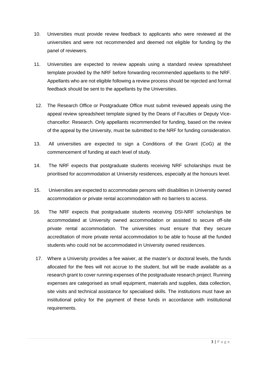- 10. Universities must provide review feedback to applicants who were reviewed at the universities and were not recommended and deemed not eligible for funding by the panel of reviewers.
- 11. Universities are expected to review appeals using a standard review spreadsheet template provided by the NRF before forwarding recommended appellants to the NRF. Appellants who are not eligible following a review process should be rejected and formal feedback should be sent to the appellants by the Universities.
- 12. The Research Office or Postgraduate Office must submit reviewed appeals using the appeal review spreadsheet template signed by the Deans of Faculties or Deputy Vicechancellor: Research. Only appellants recommended for funding, based on the review of the appeal by the University, must be submitted to the NRF for funding consideration.
- 13. All universities are expected to sign a Conditions of the Grant (CoG) at the commencement of funding at each level of study.
- 14. The NRF expects that postgraduate students receiving NRF scholarships must be prioritised for accommodation at University residences, especially at the honours level.
- 15. Universities are expected to accommodate persons with disabilities in University owned accommodation or private rental accommodation with no barriers to access.
- 16. The NRF expects that postgraduate students receiving DSI-NRF scholarships be accommodated at University owned accommodation or assisted to secure off-site private rental accommodation. The universities must ensure that they secure accreditation of more private rental accommodation to be able to house all the funded students who could not be accommodated in University owned residences.
- 17. Where a University provides a fee waiver, at the master's or doctoral levels, the funds allocated for the fees will not accrue to the student, but will be made available as a research grant to cover running expenses of the postgraduate research project. Running expenses are categorised as small equipment, materials and supplies, data collection, site visits and technical assistance for specialised skills. The institutions must have an institutional policy for the payment of these funds in accordance with institutional requirements.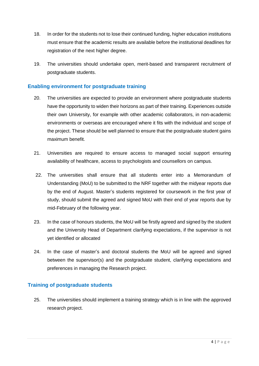- 18. In order for the students not to lose their continued funding, higher education institutions must ensure that the academic results are available before the institutional deadlines for registration of the next higher degree.
- 19. The universities should undertake open, merit-based and transparent recruitment of postgraduate students.

## **Enabling environment for postgraduate training**

- 20. The universities are expected to provide an environment where postgraduate students have the opportunity to widen their horizons as part of their training. Experiences outside their own University, for example with other academic collaborators, in non-academic environments or overseas are encouraged where it fits with the individual and scope of the project. These should be well planned to ensure that the postgraduate student gains maximum benefit.
- 21. Universities are required to ensure access to managed social support ensuring availability of healthcare, access to psychologists and counsellors on campus.
- 22. The universities shall ensure that all students enter into a Memorandum of Understanding (MoU) to be submitted to the NRF together with the midyear reports due by the end of August. Master's students registered for coursework in the first year of study, should submit the agreed and signed MoU with their end of year reports due by mid-February of the following year.
- 23. In the case of honours students, the MoU will be firstly agreed and signed by the student and the University Head of Department clarifying expectations, if the supervisor is not yet identified or allocated
- 24. In the case of master's and doctoral students the MoU will be agreed and signed between the supervisor(s) and the postgraduate student, clarifying expectations and preferences in managing the Research project.

# **Training of postgraduate students**

25. The universities should implement a training strategy which is in line with the approved research project.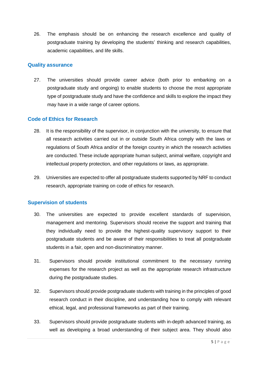26. The emphasis should be on enhancing the research excellence and quality of postgraduate training by developing the students' thinking and research capabilities, academic capabilities, and life skills.

#### **Quality assurance**

27. The universities should provide career advice (both prior to embarking on a postgraduate study and ongoing) to enable students to choose the most appropriate type of postgraduate study and have the confidence and skills to explore the impact they may have in a wide range of career options.

#### **Code of Ethics for Research**

- 28. It is the responsibility of the supervisor, in conjunction with the university, to ensure that all research activities carried out in or outside South Africa comply with the laws or regulations of South Africa and/or of the foreign country in which the research activities are conducted. These include appropriate human subject, animal welfare, copyright and intellectual property protection, and other regulations or laws, as appropriate.
- 29. Universities are expected to offer all postgraduate students supported by NRF to conduct research, appropriate training on code of ethics for research.

#### **Supervision of students**

- 30. The universities are expected to provide excellent standards of supervision, management and mentoring. Supervisors should receive the support and training that they individually need to provide the highest-quality supervisory support to their postgraduate students and be aware of their responsibilities to treat all postgraduate students in a fair, open and non-discriminatory manner.
- 31. Supervisors should provide institutional commitment to the necessary running expenses for the research project as well as the appropriate research infrastructure during the postgraduate studies.
- 32. Supervisors should provide postgraduate students with training in the principles of good research conduct in their discipline, and understanding how to comply with relevant ethical, legal, and professional frameworks as part of their training.
- 33. Supervisors should provide postgraduate students with in-depth advanced training, as well as developing a broad understanding of their subject area. They should also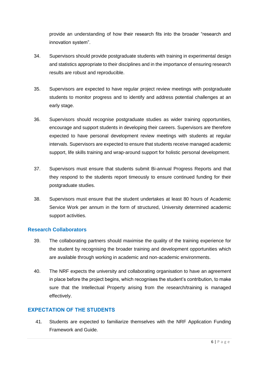provide an understanding of how their research fits into the broader "research and innovation system".

- 34. Supervisors should provide postgraduate students with training in experimental design and statistics appropriate to their disciplines and in the importance of ensuring research results are robust and reproducible.
- 35. Supervisors are expected to have regular project review meetings with postgraduate students to monitor progress and to identify and address potential challenges at an early stage.
- 36. Supervisors should recognise postgraduate studies as wider training opportunities, encourage and support students in developing their careers. Supervisors are therefore expected to have personal development review meetings with students at regular intervals. Supervisors are expected to ensure that students receive managed academic support, life skills training and wrap-around support for holistic personal development.
- 37. Supervisors must ensure that students submit Bi-annual Progress Reports and that they respond to the students report timeously to ensure continued funding for their postgraduate studies.
- 38. Supervisors must ensure that the student undertakes at least 80 hours of Academic Service Work per annum in the form of structured, University determined academic support activities.

#### **Research Collaborators**

- 39. The collaborating partners should maximise the quality of the training experience for the student by recognising the broader training and development opportunities which are available through working in academic and non-academic environments.
- 40. The NRF expects the university and collaborating organisation to have an agreement in place before the project begins, which recognises the student's contribution, to make sure that the Intellectual Property arising from the research/training is managed effectively.

# **EXPECTATION OF THE STUDENTS**

41. Students are expected to familiarize themselves with the NRF Application Funding Framework and Guide.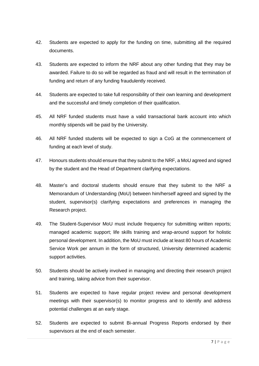- 42. Students are expected to apply for the funding on time, submitting all the required documents.
- 43. Students are expected to inform the NRF about any other funding that they may be awarded. Failure to do so will be regarded as fraud and will result in the termination of funding and return of any funding fraudulently received.
- 44. Students are expected to take full responsibility of their own learning and development and the successful and timely completion of their qualification.
- 45. All NRF funded students must have a valid transactional bank account into which monthly stipends will be paid by the University.
- 46. All NRF funded students will be expected to sign a CoG at the commencement of funding at each level of study.
- 47. Honours students should ensure that they submit to the NRF, a MoU agreed and signed by the student and the Head of Department clarifying expectations.
- 48. Master's and doctoral students should ensure that they submit to the NRF a Memorandum of Understanding (MoU) between him/herself agreed and signed by the student, supervisor(s) clarifying expectations and preferences in managing the Research project.
- 49. The Student-Supervisor MoU must include frequency for submitting written reports; managed academic support; life skills training and wrap-around support for holistic personal development. In addition, the MoU must include at least 80 hours of Academic Service Work per annum in the form of structured, University determined academic support activities.
- 50. Students should be actively involved in managing and directing their research project and training, taking advice from their supervisor.
- 51. Students are expected to have regular project review and personal development meetings with their supervisor(s) to monitor progress and to identify and address potential challenges at an early stage.
- 52. Students are expected to submit Bi-annual Progress Reports endorsed by their supervisors at the end of each semester.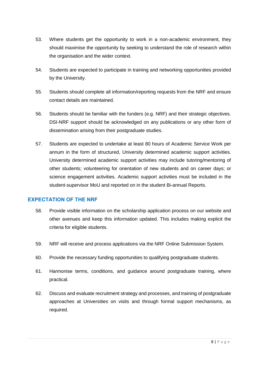- 53. Where students get the opportunity to work in a non-academic environment, they should maximise the opportunity by seeking to understand the role of research within the organisation and the wider context.
- 54. Students are expected to participate in training and networking opportunities provided by the University.
- 55. Students should complete all information/reporting requests from the NRF and ensure contact details are maintained.
- 56. Students should be familiar with the funders (e.g. NRF) and their strategic objectives. DSI-NRF support should be acknowledged on any publications or any other form of dissemination arising from their postgraduate studies.
- 57. Students are expected to undertake at least 80 hours of Academic Service Work per annum in the form of structured, University determined academic support activities. University determined academic support activities may include tutoring/mentoring of other students; volunteering for orientation of new students and on career days; or science engagement activities. Academic support activities must be included in the student-supervisor MoU and reported on in the student Bi-annual Reports.

# **EXPECTATION OF THE NRF**

- 58. Provide visible information on the scholarship application process on our website and other avenues and keep this information updated. This includes making explicit the criteria for eligible students.
- 59. NRF will receive and process applications via the NRF Online Submission System.
- 60. Provide the necessary funding opportunities to qualifying postgraduate students.
- 61. Harmonise terms, conditions, and guidance around postgraduate training, where practical.
- 62. Discuss and evaluate recruitment strategy and processes, and training of postgraduate approaches at Universities on visits and through formal support mechanisms, as required.